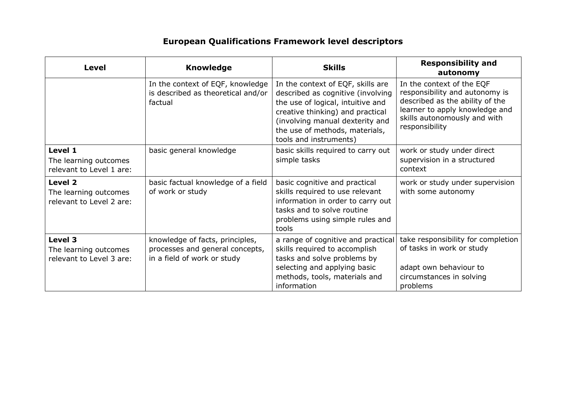## **European Qualifications Framework level descriptors**

| <b>Level</b>                                                 | <b>Knowledge</b>                                                                                  | <b>Skills</b>                                                                                                                                                                                                                                  | <b>Responsibility and</b><br>autonomy                                                                                                                                              |
|--------------------------------------------------------------|---------------------------------------------------------------------------------------------------|------------------------------------------------------------------------------------------------------------------------------------------------------------------------------------------------------------------------------------------------|------------------------------------------------------------------------------------------------------------------------------------------------------------------------------------|
|                                                              | In the context of EQF, knowledge<br>is described as theoretical and/or<br>factual                 | In the context of EQF, skills are<br>described as cognitive (involving<br>the use of logical, intuitive and<br>creative thinking) and practical<br>(involving manual dexterity and<br>the use of methods, materials,<br>tools and instruments) | In the context of the EQF<br>responsibility and autonomy is<br>described as the ability of the<br>learner to apply knowledge and<br>skills autonomously and with<br>responsibility |
| Level 1<br>The learning outcomes<br>relevant to Level 1 are: | basic general knowledge                                                                           | basic skills required to carry out<br>simple tasks                                                                                                                                                                                             | work or study under direct<br>supervision in a structured<br>context                                                                                                               |
| Level 2<br>The learning outcomes<br>relevant to Level 2 are: | basic factual knowledge of a field<br>of work or study                                            | basic cognitive and practical<br>skills required to use relevant<br>information in order to carry out<br>tasks and to solve routine<br>problems using simple rules and<br>tools                                                                | work or study under supervision<br>with some autonomy                                                                                                                              |
| Level 3<br>The learning outcomes<br>relevant to Level 3 are: | knowledge of facts, principles,<br>processes and general concepts,<br>in a field of work or study | a range of cognitive and practical<br>skills required to accomplish<br>tasks and solve problems by<br>selecting and applying basic<br>methods, tools, materials and<br>information                                                             | take responsibility for completion<br>of tasks in work or study<br>adapt own behaviour to<br>circumstances in solving<br>problems                                                  |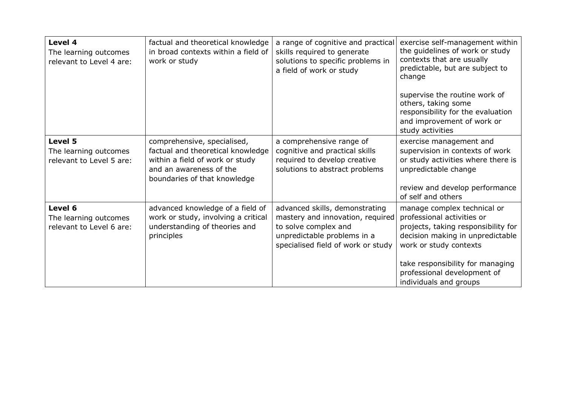| Level 4<br>The learning outcomes<br>relevant to Level 4 are: | factual and theoretical knowledge<br>in broad contexts within a field of<br>work or study                                                                      | a range of cognitive and practical<br>skills required to generate<br>solutions to specific problems in<br>a field of work or study                              | exercise self-management within<br>the guidelines of work or study<br>contexts that are usually<br>predictable, but are subject to<br>change<br>supervise the routine work of<br>others, taking some<br>responsibility for the evaluation<br>and improvement of work or<br>study activities |
|--------------------------------------------------------------|----------------------------------------------------------------------------------------------------------------------------------------------------------------|-----------------------------------------------------------------------------------------------------------------------------------------------------------------|---------------------------------------------------------------------------------------------------------------------------------------------------------------------------------------------------------------------------------------------------------------------------------------------|
| Level 5<br>The learning outcomes<br>relevant to Level 5 are: | comprehensive, specialised,<br>factual and theoretical knowledge<br>within a field of work or study<br>and an awareness of the<br>boundaries of that knowledge | a comprehensive range of<br>cognitive and practical skills<br>required to develop creative<br>solutions to abstract problems                                    | exercise management and<br>supervision in contexts of work<br>or study activities where there is<br>unpredictable change<br>review and develop performance<br>of self and others                                                                                                            |
| Level 6<br>The learning outcomes<br>relevant to Level 6 are: | advanced knowledge of a field of<br>work or study, involving a critical<br>understanding of theories and<br>principles                                         | advanced skills, demonstrating<br>mastery and innovation, required<br>to solve complex and<br>unpredictable problems in a<br>specialised field of work or study | manage complex technical or<br>professional activities or<br>projects, taking responsibility for<br>decision making in unpredictable<br>work or study contexts                                                                                                                              |
|                                                              |                                                                                                                                                                |                                                                                                                                                                 | take responsibility for managing<br>professional development of<br>individuals and groups                                                                                                                                                                                                   |